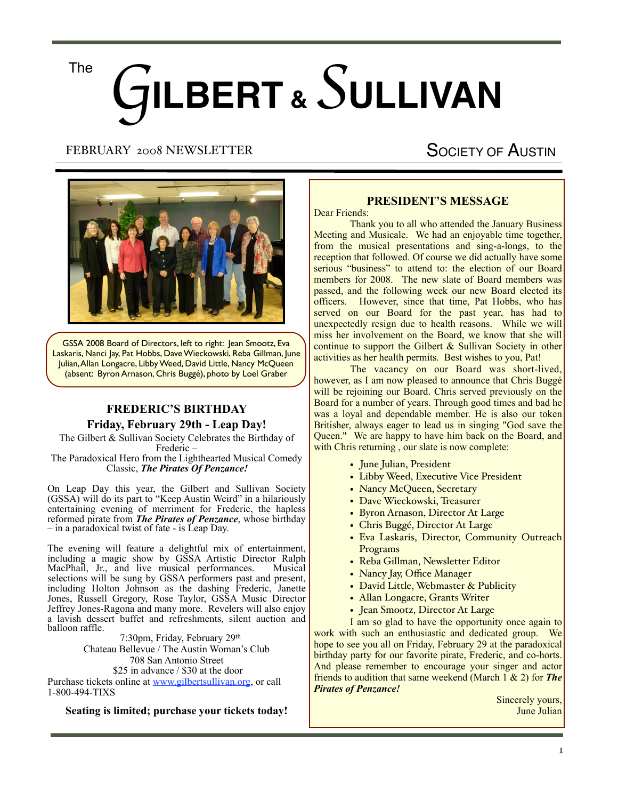# G**ILBERT &** *S* **ULLIVAN** The

### FEBRUARY 2008 NEWSLETTER

# SOCIETY OF AUSTIN



GSSA 2008 Board of Directors, left to right: Jean Smootz, Eva Laskaris, Nanci Jay, Pat Hobbs, Dave Wieckowski, Reba Gillman, June Julian, Allan Longacre, Libby Weed, David Little, Nancy McQueen (absent: Byron Arnason, Chris Buggé), photo by Loel Graber

## **FREDERIC'S BIRTHDAY Friday, February 29th - Leap Day!**

The Gilbert & Sullivan Society Celebrates the Birthday of Frederic –

The Paradoxical Hero from the Lighthearted Musical Comedy Classic, *The Pirates Of Penzance!*

On Leap Day this year, the Gilbert and Sullivan Society (GSSA) will do its part to "Keep Austin Weird" in a hilariously entertaining evening of merriment for Frederic, the hapless reformed pirate from *The Pirates of Penzance*, whose birthday – in a paradoxical twist of fate - is Leap Day.

The evening will feature a delightful mix of entertainment, including a magic show by GSSA Artistic Director Ralph MacPhail, Jr., and live musical performances. Musical selections will be sung by GSSA performers past and present, including Holton Johnson as the dashing Frederic, Janette Jones, Russell Gregory, Rose Taylor, GSSA Music Director Jeffrey Jones-Ragona and many more. Revelers will also enjoy a lavish dessert buffet and refreshments, silent auction and balloon raffle.

 7:30pm, Friday, February 29th Chateau Bellevue / The Austin Woman's Club 708 San Antonio Street \$25 in advance / \$30 at the door Purchase tickets online at [www.gilbertsullivan.org,](http://www.gilbertsullivan.org) or call 1-800-494-TIXS

**Seating is limited; purchase your tickets today!**

## **PRESIDENT'S MESSAGE**

Dear Friends:

 Thank you to all who attended the January Business Meeting and Musicale. We had an enjoyable time together, from the musical presentations and sing-a-longs, to the reception that followed. Of course we did actually have some serious "business" to attend to: the election of our Board members for 2008. The new slate of Board members was passed, and the following week our new Board elected its officers. However, since that time, Pat Hobbs, who has served on our Board for the past year, has had to unexpectedly resign due to health reasons. While we will miss her involvement on the Board, we know that she will continue to support the Gilbert & Sullivan Society in other activities as her health permits. Best wishes to you, Pat!

The vacancy on our Board was short-lived, however, as I am now pleased to announce that Chris Buggé will be rejoining our Board. Chris served previously on the Board for a number of years. Through good times and bad he was a loyal and dependable member. He is also our token Britisher, always eager to lead us in singing "God save the Queen." We are happy to have him back on the Board, and with Chris returning, our slate is now complete:

- June Julian, President
- Libby Weed, Executive Vice President
- Nancy McQueen, Secretary
- Dave Wieckowski, Treasurer
- Byron Arnason, Director At Large
- Chris Buggé, Director At Large
- Eva Laskaris, Director, Community Outreach Programs
- Reba Gillman, Newsletter Editor
- Nancy Jay, Office Manager
- David Little, Webmaster & Publicity
- Allan Longacre, Grants Writer
- Jean Smootz, Director At Large

 I am so glad to have the opportunity once again to work with such an enthusiastic and dedicated group. We hope to see you all on Friday, February 29 at the paradoxical birthday party for our favorite pirate, Frederic, and co-horts. And please remember to encourage your singer and actor friends to audition that same weekend (March 1 & 2) for *The Pirates of Penzance!*

Sincerely yours, June Julian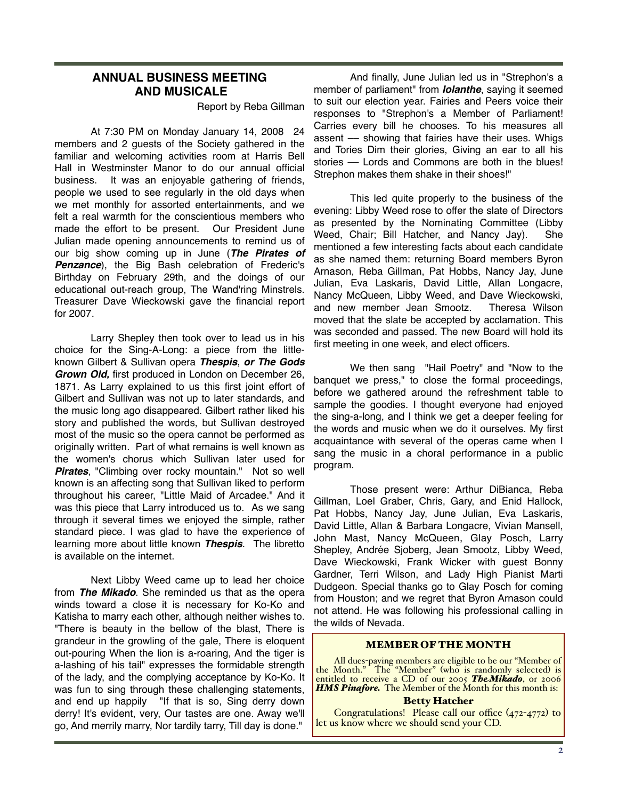#### **ANNUAL BUSINESS MEETING AND MUSICALE**

Report by Reba Gillman

At 7:30 PM on Monday January 14, 2008 24 members and 2 guests of the Society gathered in the familiar and welcoming activities room at Harris Bell Hall in Westminster Manor to do our annual official business. It was an enjoyable gathering of friends, people we used to see regularly in the old days when we met monthly for assorted entertainments, and we felt a real warmth for the conscientious members who made the effort to be present. Our President June Julian made opening announcements to remind us of our big show coming up in June (*The Pirates of*  **Penzance**), the Big Bash celebration of Frederic's Birthday on February 29th, and the doings of our educational out-reach group, The Wand'ring Minstrels. Treasurer Dave Wieckowski gave the financial report for 2007.

Larry Shepley then took over to lead us in his choice for the Sing-A-Long: a piece from the littleknown Gilbert & Sullivan opera *Thespis*, *or The Gods Grown Old,* first produced in London on December 26, 1871. As Larry explained to us this first joint effort of Gilbert and Sullivan was not up to later standards, and the music long ago disappeared. Gilbert rather liked his story and published the words, but Sullivan destroyed most of the music so the opera cannot be performed as originally written. Part of what remains is well known as the women's chorus which Sullivan later used for **Pirates**, "Climbing over rocky mountain." Not so well known is an affecting song that Sullivan liked to perform throughout his career, "Little Maid of Arcadee." And it was this piece that Larry introduced us to. As we sang through it several times we enjoyed the simple, rather standard piece. I was glad to have the experience of learning more about little known *Thespis*. The libretto is available on the internet.

Next Libby Weed came up to lead her choice from *The Mikado*. She reminded us that as the opera winds toward a close it is necessary for Ko-Ko and Katisha to marry each other, although neither wishes to. "There is beauty in the bellow of the blast, There is grandeur in the growling of the gale, There is eloquent out-pouring When the lion is a-roaring, And the tiger is a-lashing of his tail" expresses the formidable strength of the lady, and the complying acceptance by Ko-Ko. It was fun to sing through these challenging statements, and end up happily "If that is so, Sing derry down derry! It's evident, very, Our tastes are one. Away we'll go, And merrily marry, Nor tardily tarry, Till day is done."

And finally, June Julian led us in "Strephon's a member of parliament" from *Iolanthe*, saying it seemed to suit our election year. Fairies and Peers voice their responses to "Strephon's a Member of Parliament! Carries every bill he chooses. To his measures all assent –– showing that fairies have their uses. Whigs and Tories Dim their glories, Giving an ear to all his stories - Lords and Commons are both in the blues! Strephon makes them shake in their shoes!"

This led quite properly to the business of the evening: Libby Weed rose to offer the slate of Directors as presented by the Nominating Committee (Libby Weed, Chair; Bill Hatcher, and Nancy Jay). She mentioned a few interesting facts about each candidate as she named them: returning Board members Byron Arnason, Reba Gillman, Pat Hobbs, Nancy Jay, June Julian, Eva Laskaris, David Little, Allan Longacre, Nancy McQueen, Libby Weed, and Dave Wieckowski, and new member Jean Smootz. Theresa Wilson moved that the slate be accepted by acclamation. This was seconded and passed. The new Board will hold its first meeting in one week, and elect officers.

We then sang "Hail Poetry" and "Now to the banquet we press," to close the formal proceedings, before we gathered around the refreshment table to sample the goodies. I thought everyone had enjoyed the sing-a-long, and I think we get a deeper feeling for the words and music when we do it ourselves. My first acquaintance with several of the operas came when I sang the music in a choral performance in a public program.

Those present were: Arthur DiBianca, Reba Gillman, Loel Graber, Chris, Gary, and Enid Hallock, Pat Hobbs, Nancy Jay, June Julian, Eva Laskaris, David Little, Allan & Barbara Longacre, Vivian Mansell, John Mast, Nancy McQueen, Glay Posch, Larry Shepley, Andrée Sjoberg, Jean Smootz, Libby Weed, Dave Wieckowski, Frank Wicker with guest Bonny Gardner, Terri Wilson, and Lady High Pianist Marti Dudgeon. Special thanks go to Glay Posch for coming from Houston; and we regret that Byron Arnason could not attend. He was following his professional calling in the wilds of Nevada.

#### MEMBER OF THE MONTH

All dues-paying members are eligible to be our "Member of the Month." The "Member" (who is randomly selected) is entitled to receive a CD of our 2005 *TheMikado*, or 2006 **HMS Pinafore.** The Member of the Month for this month is:

#### Betty Hatcher

Congratulations! Please call our office (472-4772) to let us know where we should send your CD.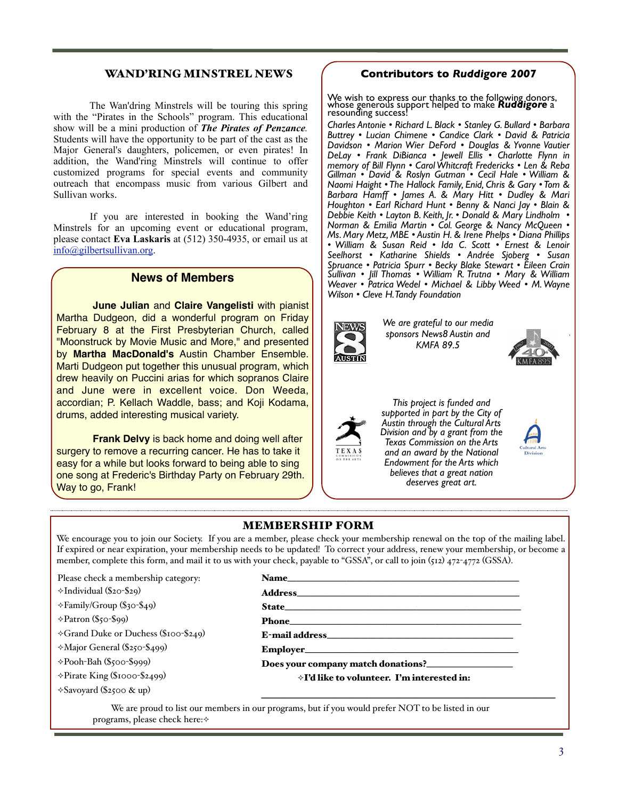#### WAND'RING MINSTREL NEWS (C

We are most pleased to thank the following donors, whose generators, whose generators, whose generators, whose generators,  $\alpha$ erous support will help make Ruddigore a resounding success!

instrumental in creating the show from the opera *Ruddigore*. Eva told with the "Pirates in the Schools" program. This educational resounding success! show will be a mini production of **The Pirates of Penzance.** Charles Antonie • Richard L. Black • Sto Students will have the opportunity to be part of the cast as the Students will have the opportunity to be part of the cast as the Davidson Major General's daughters, policemen, or even pirates! In  $\bigcap_{n=1}^{\infty}$ addition, the Wand'ring Minstrels will continue to offer  $\begin{array}{c|c}\n\text{DeLay • I} \\
\text{memory of}\n\end{array}$ customized programs for special events and community  $\begin{array}{c|c}\n\hline\n\text{Gillman}\n\end{array}$ outreach that encompass music from various Gilbert and **Naomi Half • Naomi Naomi And Collect** and **R**eckere  $S$ ullivan w The Wan'dring Minstrels will be touring this spring whose genus Sullivan works.

On Monday May 7, 2007, 24 lucky people gathered in the

very effective, and apparently involving the children in this way is way in this way is way in this way is way in this way is way in the children in the children in the children in the children in the children in this way

lead in, and we finished up all singing "Hail Poetry" as is our wont.

John Mast, Nancy McQueen, Gaylon Oswalt, Charles & Diane Radin, Steve & Eve Schwartzman, Larry Shepley, Andrée Sjoberg,

Congratulations! Please call our office (472-4772) to let us know

With Janette Jones playing both Dame Hannah and Mad

 $\mathbf{v}$ sport $\mathbf{h}$ . He stood in for the very important, but non-speaking, non-speaking, non-speaking, non-speaking, non-speaking,  $\mathbf{h}$ .  $S<sub>1</sub>$  in this show,  $S<sub>1</sub>$  $\mu$ ith  $\theta$  stolender and was supplied storm  $\theta$  $\text{mno}(w, \text{gnot})$ If you are interested in booking the Wand'ring  $\bigcup_{n=1}^{\infty}$  Debbie Kei Minstreis for an upcoming event or equicational program,<br>please contact **Eva Laskaris** at (512) 350-4935, or email us at  $\begin{bmatrix} N & M \end{bmatrix}$ Minstrels for an upcoming event or educational program, Norman & Emilia Martin • Col. Geor [info@gilbertsullivan.org.](mailto:info@gilbertsullivan.org)

## **News of Members**  $\bigcap_{\text{Mean } \atop \text{Mean } \text{of } \text{Mean}}$

**FESDYTEFIAN CHUICH, Called Called Sponsors News8 Austin and** Margaret, Eva Laskaris as sweet Rose Maybud, David Fontenot as Sir Martha Dudgeon, did a wonderful program on Friday | Michael Michael We are grateful to our not not a February 8 at the First Presbyterian Church, called  $\vert \vert$ "Moonstruck by Movie Music and More," and presented  $\overline{\phantom{a}}$ **I, by Martha MacDonald's Austin Chamber Ensemble. Bellevia a very satisfactory with seemed like a very seemed like a very seemed like a very seemed like a very seemed very seemed very seemed very seemed very seemed very** drew heavily on Puccini arias for which sopranos Claire Gilbert & Sullivan won't leave it at that. To find out how it really We are pleased to receive funding from drums, added interesting musical variety.<br> **drums**, added interesting musical variety. **June Julian** and Claire Vangelisti with pianist **Algebra 19 and 19 and 19 and 19 and 19 and 19 and 19 and 19 and 19 and 19 and 19 and 19 and 19 and 19 and 19 and 19 and 19 and 19 and 19 and 19 and 19 and 19 and 19 and 19** and June were in excellent voice. Don Weeda,  $\frac{1}{\text{accordian}}$ ; P. Kellach Waddle, bass; and Koji Kodama,  $\left| \begin{array}{ccc} \end{array} \right|$  This project is funded Marti Dudgeon put together this unusual program, which

And then all off to munch on delightful morsels brought by our surgery to remove a recurring cancer. He has to take it  $\parallel \frac{1}{\sqrt{N}} \frac{1}{N}$  and an award by the N one song at Frederic's Birthday Party on February 29th. Way to go, Frank!  $\overline{\phantom{a}}$  $\mathcal{A}$  and  $\mathcal{A}$  is retired here. In addition,  $\mathcal{A}$  is retired here. In addition,  $\mathcal{A}$ **Frank Delvy** is back home and doing well after  $\frac{1}{\sqrt{1}}$  **Frank Delvy** is our wonter easy for a while but looks forward to being able to sing **thanks are for the last of the Arts** Those present were: Lucian Chimene, Frank & Donna Delvy,

#### MINSTREL NEWS **Contributors to Ruddigore 2007**  $\frac{1}{2}$  but we with Minsters to Minsters was  $\overline{a}$

We wish to express our thanks to the following donors, whose generous support helped to make *Ruddigore* a resounding success! instrumental in creating the show from the opera *Ruddigore*. Eva told Lots will be touring this spring the wise wish to express our thanks to the longwing donors,<br>Let will be touring this spring whose generous support helped to make **Ruddigore** a Stanley G. Bullard • Lucian Chimene • Candice

resounding success:<br>Charles Antonie • Richard L. Black • Stanley G. Bullard • Barbara I Buttrey • Lucian Chimene • Candice Clark • David & Patricia *Davidson • Marion Wier DeFord • Douglas & Yvonne Vautier Davidson • Marion Wier DeFord • Douglas & Yvonne Vautier DeLay • Frank DiBianca • Jewell Ellis • Charlotte Flynn in memory of Bill Flynn • Carol Whitcraft Fredericks • Len & Reba Gillman • David & Roslyn Gutman • Cecil Hale • William &*  **Naomi Chris and Community Community Community David & Rosily Polantin • Cecil Fride William & Community - Community Barbara Hamff • James A. & Mary Hitt • Dudley & Mari** Barbara Hamff • James A. & Mary Hitt • Dudley & Mari |<br>| Houghton • Earl Richard Hunt • Benny & Nanci Jay • Blain & | in booking the Wand'ring **Debbie Keith • Layton B. Keith, Jr. • Donald & Mary Lindholm •** *Norman & Emilia Martin • Col. George & Nancy McQueen • Ms. Mary Metz, MBE • Austin H. & Irene Phelps • Diana Phillips*  & Lenoir Seelhorst • Katherine Shields • Andrée *• William & Susan Reid • Ida C. Scott • Ernest & Lenoir*  **Superior Section Section** States in the State of C. Scott • Exterior and original C. Sprusses in the C. Scott • Exterior on Shields • Andrée Sjoberg • Susan Reid • Ida C. Scott • Ernest & Lenoir Seelhorst • Katharine Shie Seembral Patricia Spurr • Becky Blake Stewart • Eileen Crain Sullivan • Jill Thomas • William´ R. Trutna • Mary & William |<br>Wagyar • Patrice Wodel • Michael & Libby Wood • M Wayne | *Weaver • Patrica Wedel • Michael & Libby Weed • M. Wayne*  **Weaver • Patricia Wedel • Michael & Libby Dame Hannah and Madel & Libby Dame Hannah and Madel • Michael & Libby Dame Hannah and Madel & Libby Dame Hannah and Madel & Libby Dame Hannah and Madel & Libby Dame Hannah and Mad** from the audience to  $f(x) = \int e^{x} \, dx$  below • From R DiBianca • Jewell E  $\frac{1}{2}$  memory of Bill Flynn • Carol Whiteraft  $\begin{bmatrix} 0.12 & 0.00-4933 \\ 0.000 & 0.0000 \\ 0.0000 & 0.0000 \\ \end{bmatrix}$  • William & Susan Reid • Ida C. Scott • Ernest & Lenoir Seelhorst • Katharine Shields • Andrée Sjoberg • Susan c rvonne vauuer<br>arlotte Flynn in  $\frac{dS}{dt}$  • Len & Reba  $\begin{bmatrix} 1 & 0 & 0 \\ 0 & 0 & 0 \\ 0 & 0 & 0 \\ 0 & 0 & 0 \\ 0 & 0 & 0 \\ 0 & 0 & 0 \\ 0 & 0 & 0 \\ 0 & 0 & 0 \\ 0 & 0 & 0 \\ 0 & 0 & 0 \\ 0 & 0 & 0 \\ 0 & 0 & 0 \\ 0 & 0 & 0 \\ 0 & 0 & 0 & 0 \\ 0 & 0 & 0 & 0 \\ 0 & 0 & 0 & 0 \\ 0 & 0 & 0 & 0 \\ 0 & 0 & 0 & 0 \\ 0 & 0 & 0 & 0 & 0 \\ 0 & 0 & 0 & 0 & 0 \\ 0 & 0 &$ 



program, now known as "The Wand'ring Minstrels." President June

*We are grateful to our media KMFA 89.5*



Weed • M. Wayne Wilson



Eva the internal Form internal Pirate Cultural Arts<br>*Division and by a grant from the This project is funded and supported in part by the City of Austin through the Cultural Arts Texas Commission on the Arts and an award by the National Endowment for the Arts which believes that a great nation deserves great art.*



**ElderHostel — Incarnation Center, Connecticut**

We are pleased to receive funding from the City of Austin under the Cultural Arts Division and by a grant from the Texas Commission on the Arts.

We are grateful to our media sponsors,

erous support will help make Ruddigore a resounding success! These names and those of additional donors will be recognized as  $\mathcal{O}(\mathcal{A})$ 

more flexible schedule. He reports that the two ElderHostel summer

*The Big Three*, October 7 – 12, 2007. For more information address Rafe directly through his email: RMacPhai@Bridgewater.Edu.

**Rafe to Serve on Gilbert & Sullivan Board**  Ralph MacPhail, Jr., Professor of Theatre and Communication Studies  $\equiv$  Bridgewater College, has been invited by Brothers  $\frac{1}{\sqrt{2}}$  and  $\frac{1}{\sqrt{2}}$  and  $\frac{1}{\sqrt{2}}$  and  $\frac{1}{\sqrt{2}}$  and  $\frac{1}{\sqrt{2}}$  and  $\frac{1}{\sqrt{2}}$ critical edition of the operas of Gilbert and Sullivan. According to the invitation, "Members are from time to time called upon for advice, asked to assist editors by providing copies of source material they may have in the introductions of interactions of interactions, and  $q$ source descriptions, appendices, etc. to review." The project, which has been under way for over three decades, has published critical full scores, vocal scores, and orchestrations of *Trial by Jury* and *H.M.S.* 

Now that Ralph MacPhail, Jr. is retired he can work on a

#### **MEMBERSHIP FORM**  $\overline{\phantom{a}}$   $\overline{\phantom{a}}$   $\overline{\phantom{a}}$   $\overline{\phantom{a}}$   $\overline{\phantom{a}}$   $\overline{\phantom{a}}$   $\overline{\phantom{a}}$   $\overline{\phantom{a}}$   $\overline{\phantom{a}}$   $\overline{\phantom{a}}$   $\overline{\phantom{a}}$   $\overline{\phantom{a}}$   $\overline{\phantom{a}}$   $\overline{\phantom{a}}$   $\overline{\phantom{a}}$   $\overline{\phantom{a}}$   $\overline{\phantom{a}}$   $\overline{\phantom{a}}$   $\overline{\$ MEMDENSHIP FUNM

Katy Fontenot, Len & Reba Gillman, Russell & Kay Gregory, Benny

**EXALMEDITION IT COLVE TO SERVE THE SERVE THE SERVE THE STATE OF A THE UP ASSESS** WE encourage you to join our Society. If you are a member, please check your membership renewal on the top of the mailing label. If expired or near expiration, your membership needs to be updated! To correct your address, renew your membership, or become a member, complete this form, and mail it to us with your check, payable to "GSSA", or call to join (512) 472-4772 (GSSA). and Libby Weed; and performers Lynda Oswalt, Piano; Eva Laskaris, Piano; Eva Laskaris, Piano; Eva Laskaris, Pi  $\begin{array}{ccc} \n\text{wcc} & \text{circ} & \text{circ} \\
\hline\n\text{r} & \text{c} & \text{d} \\
\end{array}$ Note: Avery good time was had by all. It is too bad that unusually ou to join our society. If you are a member, piease check your mer Ciety. If you are a member, please check your membership renewal on the top of the maining label. refluences to be used; and the correct your address, refluences the property  $\frac{1}{2}$  is to us with required and property  $\frac{1}{2}$  and  $\frac{1}{2}$  is the set of  $\frac{1}{2}$  $S_{\text{SUSY}}$   $\frac{1}{2}$   $\frac{1}{2}$   $\frac{1}{2}$   $\frac{1}{2}$   $\frac{1}{2}$   $\frac{1}{2}$   $\frac{1}{2}$   $\frac{1}{2}$   $\frac{1}{2}$   $\frac{1}{2}$   $\frac{1}{2}$   $\frac{1}{2}$   $\frac{1}{2}$   $\frac{1}{2}$   $\frac{1}{2}$   $\frac{1}{2}$   $\frac{1}{2}$   $\frac{1}{2}$   $\frac{1}{2}$   $\frac{1}{2}$   $\frac{1}{2}$ Sessions in Connecticut have been rescheduled for a less hot and hu- $\sum_{\lambda}$  of become a  $\mathcal{L}$ introductory" program:  $\mathcal{L}$ 

Please check a membership category: **Name\_\_\_\_\_\_\_\_\_\_\_\_\_**<br>A fontenot, Baritone. slow delivery of the May Newsletter reduced the May Newsletter reduced to the May Newsletter reduced the attend

 $\div$ Individual (\$20-\$29) some people did not get their Newsletter until after the event.

> $\div$ Family/Group (\$30-\$49)  $\text{State}$  emergence  $\text{State}$

 $\Diamond$ Patron (\$50-\$99)

→ Grand Duke or Duchess (\$100-\$249) E-mail address  $\overline{p}$  dues-paying members are eligible to be our  $\overline{p}$  $\sum_{i=1}^{N}$  in  $\sum_{i=1}^{N}$  and the time called upon for a set  $\sum_{i=1}^{N}$ 

 $\Diamond$ Major General (\$250-\$499)  $\gamma$ Ma

 $\Diamond$ Pooh-Bah (\$500-\$999)  $\rightarrow$  Poo

⟡Pirate King (\$1000-\$2499)

 $\Diamond$ Savoyard (\$2500 & up) scores, vocal scores, and orchestrations of *Trial by Jury* and *H.M.S.* 

#### Name\_\_\_\_\_\_\_\_\_\_\_\_\_\_\_\_\_\_\_\_\_\_\_\_\_\_\_\_\_\_\_\_\_\_\_\_\_\_\_\_\_\_\_\_\_\_\_\_\_\_\_

 $Address_\text{(0, 0)}$ 

more flexible schedule. He reports that the two ElderHostel summer summer  $\sim$ sessions in Connecticut have been rescheduled for a less hot and human rescheduled for a less hot and human rescheduled for and human rescheduled for a less hot and human rescheduled for a less hot and human rescheduled fo

> State\_\_\_\_\_\_\_\_\_\_\_\_\_\_\_\_\_\_\_\_\_\_\_\_\_\_\_\_\_\_\_\_\_\_\_\_\_\_\_\_\_\_\_\_\_\_\_\_\_\_\_\_ State<sub>r</sub> and May Newsletter reduced the May Newsletter reduced the attendance, because the attendance, because the attendance, because the attendance, because the attendance, because the attendance, because the attendance,

 $\mathbf{p}_{\text{home}}$  and its editorial board for the event. Matter until after the event of the event. Matter until after the event of the event.

E-mail address\_\_\_\_\_\_\_\_\_\_\_\_\_\_\_\_\_\_\_\_\_\_\_\_\_\_\_\_\_\_\_\_\_\_\_\_\_\_\_\_\_

Employer\_\_\_\_\_\_\_\_\_\_\_\_\_\_\_\_\_\_\_\_\_\_\_\_\_\_\_\_\_\_\_\_\_\_\_\_\_\_\_\_\_\_\_\_\_\_\_ **Member of the Month**  $\text{empioyer}\_\_\_\_\_\_\_\_\_\_\_\_\_\_\_\_\_\_\_$ 

 $\circ$ -\$999) have in the state of  $\mathbf D$  or  $\mathbf S$  bees your company match donations?  $\Box$  in the introduction  $\mathbf S$ 

ed) is entitled to receive a CD of our 2005 *Mikado*. The Member

ooo-\$2499) <br>source descriptions, appendices, etc. to reduce the projections, which is the projection of the project of the<br>source of the project of the project of the project of the project of the project of the project of  $\alpha$  k under wave three decades, has published can be published contained critical function  $\alpha$ the Month Continue of the Member of the Member of the Member of the Member of the Member of the Member of the Member of the Member of the Member of the Member of the Member of the Member of the Member of the Member of the

 $\overline{\phantom{a}}$  , and the contract of the contract of the contract of the contract of the contract of the contract of the contract of the contract of the contract of the contract of the contract of the contract of the contrac

We are proud to list our members in our programs, but if you would prefer NOT to be listed in our programs, please check here: $\diamond$ **Theresa Wilson**